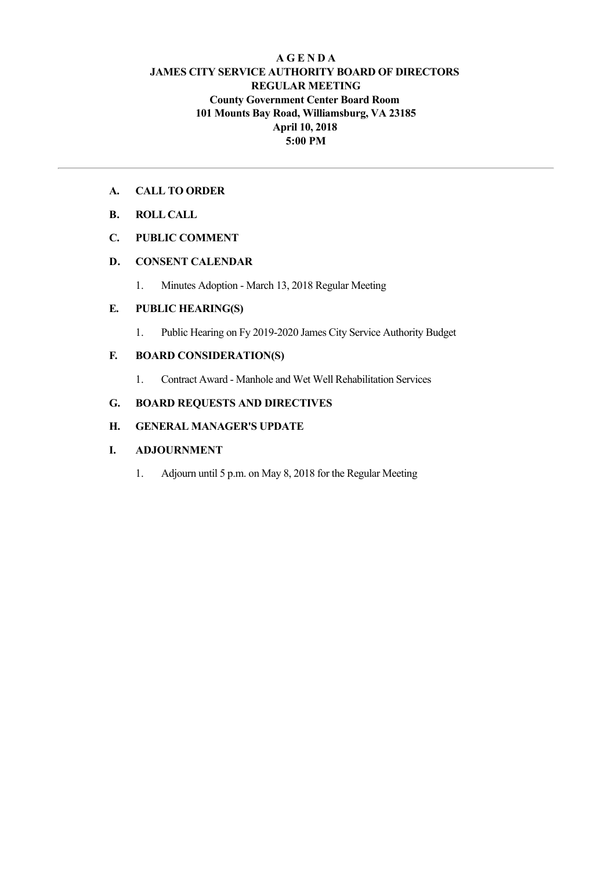#### **A G E N D A JAMES CITY SERVICE AUTHORITY BOARD OF DIRECTORS REGULAR MEETING County Government Center Board Room 101 Mounts Bay Road, Williamsburg, VA 23185 April 10, 2018 5:00 PM**

#### **A. CALL TO ORDER**

**B. ROLL CALL**

#### **C. PUBLIC COMMENT**

#### **D. CONSENT CALENDAR**

1. Minutes Adoption - March 13, 2018 Regular Meeting

#### **E. PUBLIC HEARING(S)**

1. Public Hearing on Fy 2019-2020 James City Service Authority Budget

#### **F. BOARD CONSIDERATION(S)**

1. Contract Award - Manhole and Wet Well Rehabilitation Services

#### **G. BOARD REQUESTS AND DIRECTIVES**

#### **H. GENERAL MANAGER'S UPDATE**

#### **I. ADJOURNMENT**

1. Adjourn until 5 p.m. on May 8, 2018 for the Regular Meeting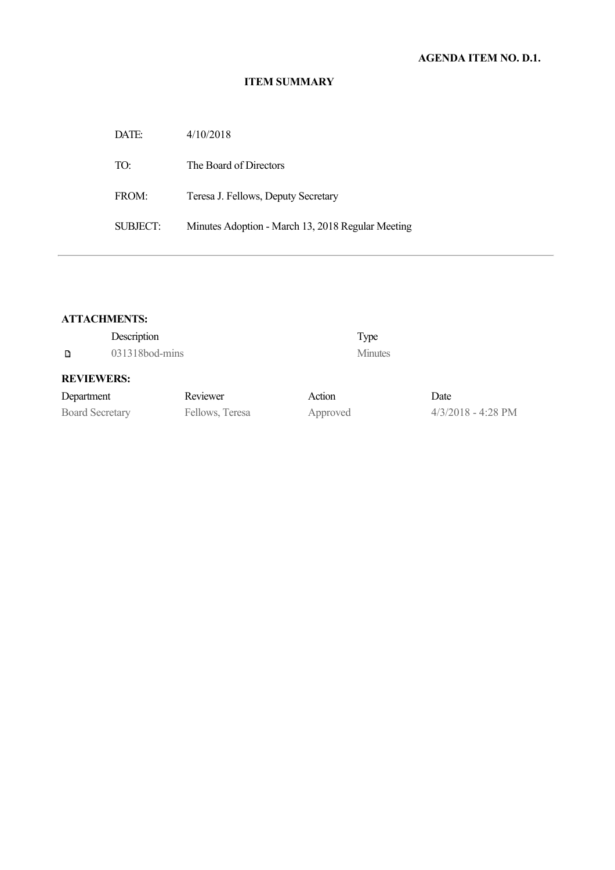| DATE:    | 4/10/2018                                         |
|----------|---------------------------------------------------|
| TO:      | The Board of Directors                            |
| FROM:    | Teresa J. Fellows, Deputy Secretary               |
| SUBJECT: | Minutes Adoption - March 13, 2018 Regular Meeting |

#### **ATTACHMENTS:**

| Description<br>031318bod-mins<br>D |                 | Type<br><b>Minutes</b> |                      |
|------------------------------------|-----------------|------------------------|----------------------|
| <b>REVIEWERS:</b>                  |                 |                        |                      |
| Department                         | Reviewer        | Action                 | Date                 |
| <b>Board Secretary</b>             | Fellows, Teresa | Approved               | $4/3/2018 - 4:28$ PM |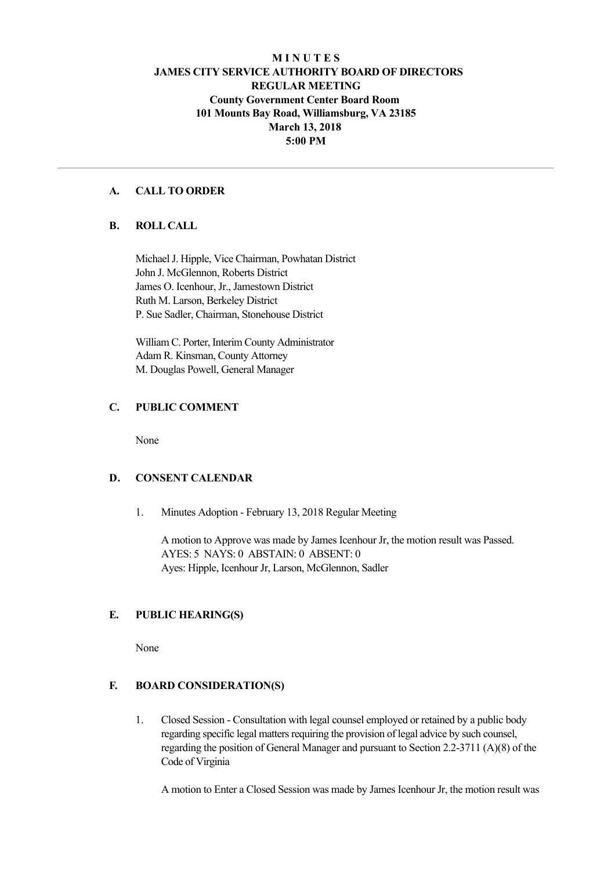#### **M I N U T E S JAMES CITY SERVICE AUTHORITY BOARD OF DIRECTORS REGULAR MEETING County Government Center Board Room 101 Mounts Bay Road, Williamsburg, VA 23185 March 13, 2018 5:00 PM**

#### **A. CALL TO ORDER**

#### **B. ROLL CALL**

Michael J. Hipple, Vice Chairman, Powhatan District John J. McGlennon, Roberts District James O. Icenhour, Jr., Jamestown District Ruth M. Larson, Berkeley District P. Sue Sadler, Chairman, Stonehouse District

William C. Porter, Interim County Administrator Adam R. Kinsman, County Attorney M. Douglas Powell, General Manager

#### **C. PUBLIC COMMENT**

None

#### **D. CONSENT CALENDAR**

1. Minutes Adoption February 13, 2018 Regular Meeting

A motion to Approve was made by James Icenhour Jr, the motion result was Passed. AYES: 5 NAYS: 0 ABSTAIN: 0 ABSENT: 0 Ayes: Hipple, Icenhour Jr, Larson, McGlennon, Sadler

#### **E. PUBLIC HEARING(S)**

None

#### **F. BOARD CONSIDERATION(S)**

1. Closed Session Consultation with legal counsel employed or retained by a public body regarding specific legal matters requiring the provision of legal advice by such counsel, regarding the position of General Manager and pursuant to Section 2.2-3711 (A)(8) of the Code of Virginia

A motion to Enter a Closed Session was made by James Icenhour Jr, the motion result was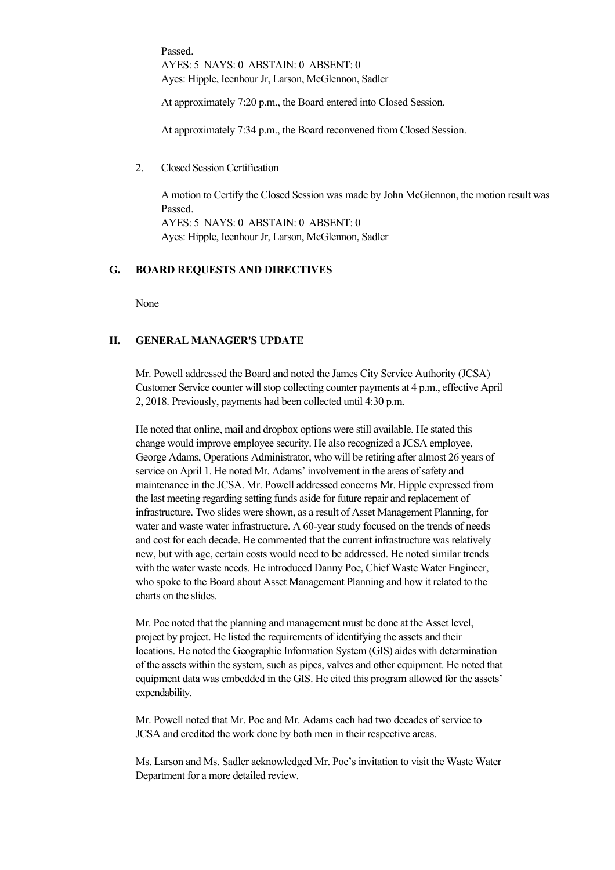Passed. AYES: 5 NAYS: 0 ABSTAIN: 0 ABSENT: 0 Ayes: Hipple, Icenhour Jr, Larson, McGlennon, Sadler

At approximately 7:20 p.m., the Board entered into Closed Session.

At approximately 7:34 p.m., the Board reconvened from Closed Session.

2. Closed Session Certification

A motion to Certify the Closed Session was made by John McGlennon, the motion result was Passed. AYES: 5 NAYS: 0 ABSTAIN: 0 ABSENT: 0 Ayes: Hipple, Icenhour Jr, Larson, McGlennon, Sadler

#### **G. BOARD REQUESTS AND DIRECTIVES**

None

#### **H. GENERAL MANAGER'S UPDATE**

Mr. Powell addressed the Board and noted the James City Service Authority (JCSA) Customer Service counter will stop collecting counter payments at 4 p.m., effective April 2, 2018. Previously, payments had been collected until 4:30 p.m.

He noted that online, mail and dropbox options were still available. He stated this change would improve employee security. He also recognized a JCSA employee, George Adams, Operations Administrator, who will be retiring after almost 26 years of service on April 1. He noted Mr. Adams' involvement in the areas of safety and maintenance in the JCSA. Mr. Powell addressed concerns Mr. Hipple expressed from the last meeting regarding setting funds aside for future repair and replacement of infrastructure. Two slides were shown, as a result of Asset Management Planning, for water and waste water infrastructure. A  $60$ -vear study focused on the trends of needs and cost for each decade. He commented that the current infrastructure was relatively new, but with age, certain costs would need to be addressed. He noted similar trends with the water waste needs. He introduced Danny Poe, Chief Waste Water Engineer, who spoke to the Board about Asset Management Planning and how it related to the charts on the slides.

Mr. Poe noted that the planning and management must be done at the Asset level, project by project. He listed the requirements of identifying the assets and their locations. He noted the Geographic Information System (GIS) aides with determination of the assets within the system, such as pipes, valves and other equipment. He noted that equipment data was embedded in the GIS. He cited this program allowed for the assets' expendability.

Mr. Powell noted that Mr. Poe and Mr. Adams each had two decades of service to JCSA and credited the work done by both men in their respective areas.

Ms. Larson and Ms. Sadler acknowledged Mr. Poe's invitation to visit the Waste Water Department for a more detailed review.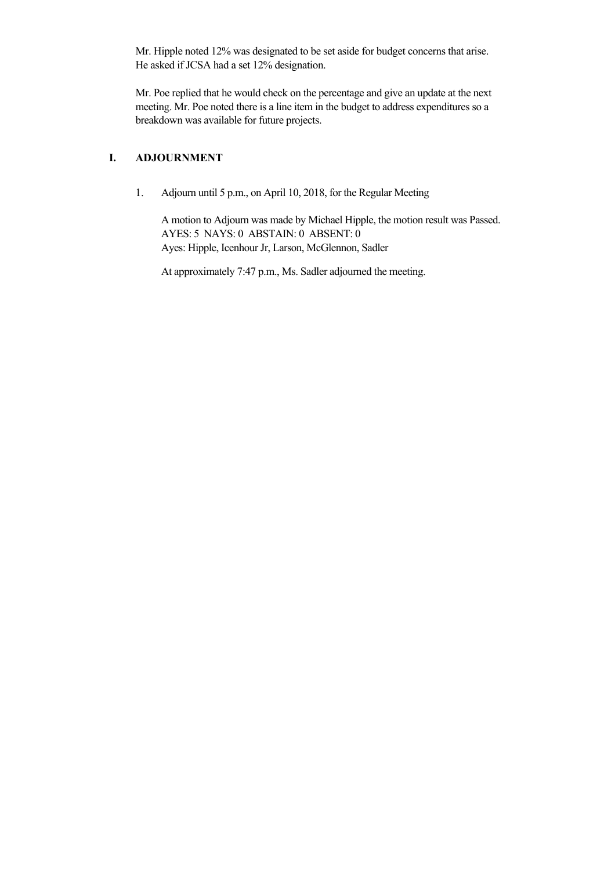Mr. Hipple noted 12% was designated to be set aside for budget concerns that arise. He asked if JCSA had a set 12% designation.

Mr. Poe replied that he would check on the percentage and give an update at the next meeting. Mr. Poe noted there is a line item in the budget to address expenditures so a breakdown was available for future projects.

#### **I. ADJOURNMENT**

1. Adjourn until 5 p.m., on April 10, 2018, for the Regular Meeting

A motion to Adjourn was made by Michael Hipple, the motion result was Passed. AYES: 5 NAYS: 0 ABSTAIN: 0 ABSENT: 0 Ayes: Hipple, Icenhour Jr, Larson, McGlennon, Sadler

At approximately 7:47 p.m., Ms. Sadler adjourned the meeting.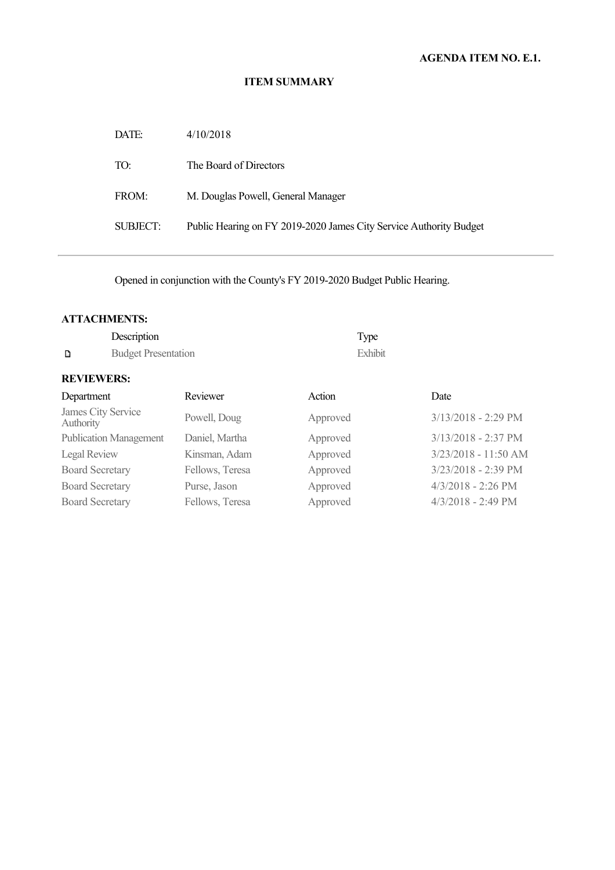| DATE:    | 4/10/2018                                                          |
|----------|--------------------------------------------------------------------|
| TO:      | The Board of Directors                                             |
| FROM:    | M. Douglas Powell, General Manager                                 |
| SUBJECT: | Public Hearing on FY 2019-2020 James City Service Authority Budget |

Opened in conjunction with the County's FY 2019-2020 Budget Public Hearing.

#### **ATTACHMENTS:**

|   | Description                | Type    |
|---|----------------------------|---------|
| D | <b>Budget Presentation</b> | Exhibit |

#### **REVIEWERS:**

| Department                      | Reviewer        | Action   | Date                  |
|---------------------------------|-----------------|----------|-----------------------|
| James City Service<br>Authority | Powell, Doug    | Approved | $3/13/2018 - 2:29$ PM |
| <b>Publication Management</b>   | Daniel, Martha  | Approved | $3/13/2018 - 2:37$ PM |
| Legal Review                    | Kinsman, Adam   | Approved | 3/23/2018 - 11:50 AM  |
| <b>Board Secretary</b>          | Fellows, Teresa | Approved | 3/23/2018 - 2:39 PM   |
| <b>Board Secretary</b>          | Purse, Jason    | Approved | $4/3/2018 - 2:26$ PM  |
| <b>Board Secretary</b>          | Fellows, Teresa | Approved | $4/3/2018 - 2:49$ PM  |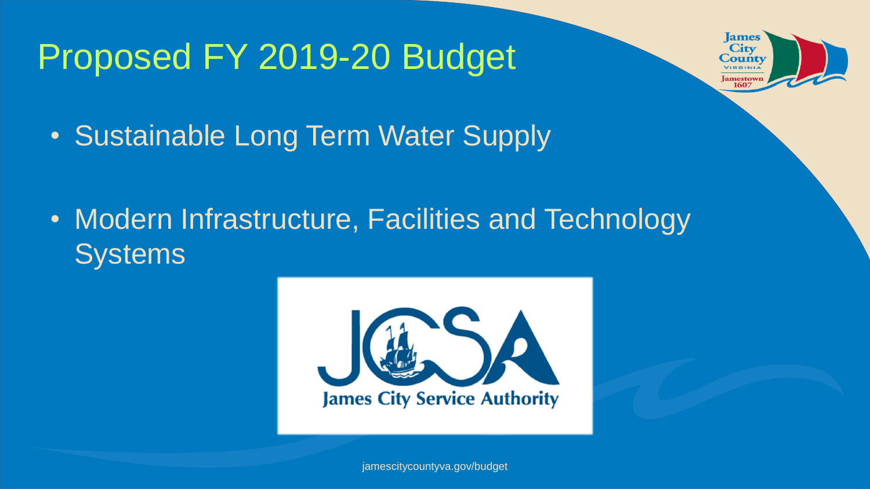### Proposed FY 2019-20 Budget



• Sustainable Long Term Water Supply

• Modern Infrastructure, Facilities and Technology **Systems** 



jamescitycountyva.gov/budget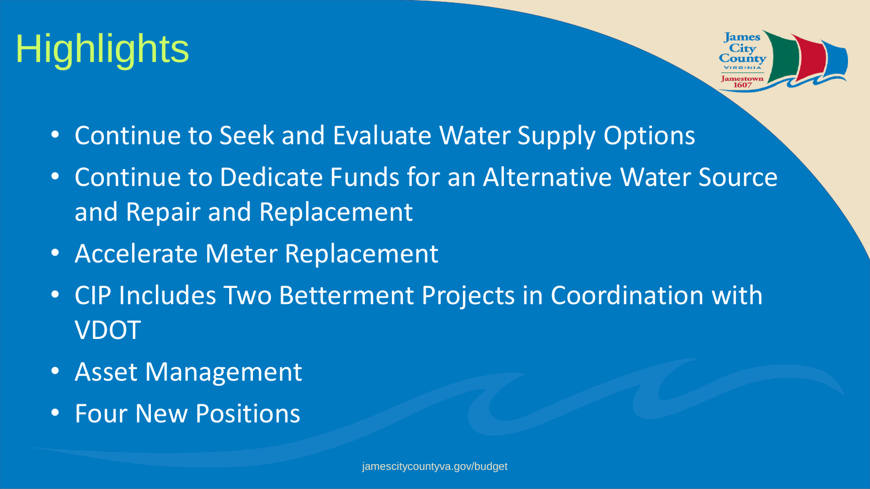# **Highlights**



- Continue to Seek and Evaluate Water Supply Options
- Continue to Dedicate Funds for an Alternative Water Source and Repair and Replacement
- Accelerate Meter Replacement
- CIP Includes Two Betterment Projects in Coordination with VDOT
- Asset Management
- Four New Positions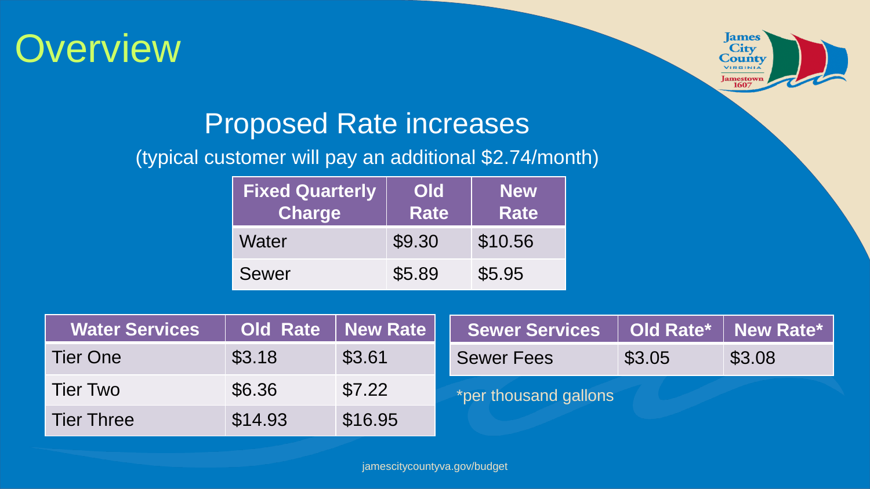## **Overview**



### Proposed Rate increases

### (typical customer will pay an additional \$2.74/month)

| <b>Fixed Quarterly</b><br><b>Charge</b> | Old<br>Rate | <b>New</b><br>Rate |
|-----------------------------------------|-------------|--------------------|
| Water                                   | \$9.30      | \$10.56            |
| <b>Sewer</b>                            | \$5.89      | \$5.95             |

| <b>Water Services</b> |         | Old Rate New Rate | <b>Sewer Services</b> | Old Rate* | New Rate* |
|-----------------------|---------|-------------------|-----------------------|-----------|-----------|
| <b>Tier One</b>       | \$3.18  | \$3.61            | <b>Sewer Fees</b>     | \$3.05    | \$3.08    |
| <b>Tier Two</b>       | \$6.36  | \$7.22            | *per thousand gallons |           |           |
| <b>Tier Three</b>     | \$14.93 | \$16.95           |                       |           |           |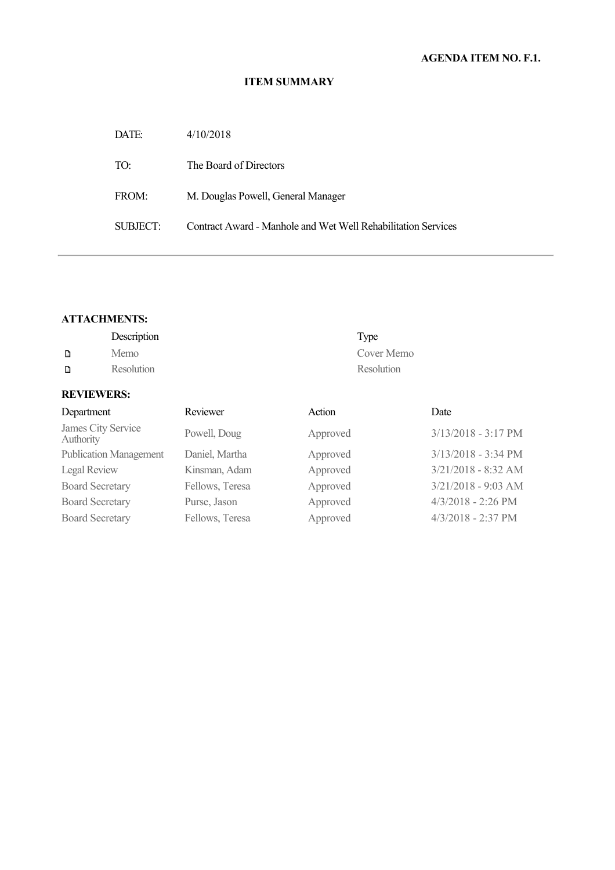| DATE:                | 4/10/2018                                                     |
|----------------------|---------------------------------------------------------------|
| TO:                  | The Board of Directors                                        |
| FROM:                | M. Douglas Powell, General Manager                            |
| SUBJECT <sup>.</sup> | Contract Award - Manhole and Wet Well Rehabilitation Services |

#### **ATTACHMENTS:**

|   | Description | Type       |
|---|-------------|------------|
| D | Memo        | Cover Memo |
| D | Resolution  | Resolution |

#### **REVIEWERS:**

| <b>James City Service</b><br>$3/13/2018 - 3:17$ PM<br>Powell, Doug<br>Approved<br>Authority |  |
|---------------------------------------------------------------------------------------------|--|
| 3/13/2018 - 3:34 PM<br><b>Publication Management</b><br>Daniel, Martha<br>Approved          |  |
| $3/21/2018 - 8:32$ AM<br>Kinsman, Adam<br>Approved<br><b>Legal Review</b>                   |  |
| $3/21/2018 - 9:03$ AM<br><b>Board Secretary</b><br>Fellows, Teresa<br>Approved              |  |
| $4/3/2018 - 2:26$ PM<br><b>Board Secretary</b><br>Approved<br>Purse, Jason                  |  |
| 4/3/2018 - 2:37 PM<br><b>Board Secretary</b><br>Fellows, Teresa<br>Approved                 |  |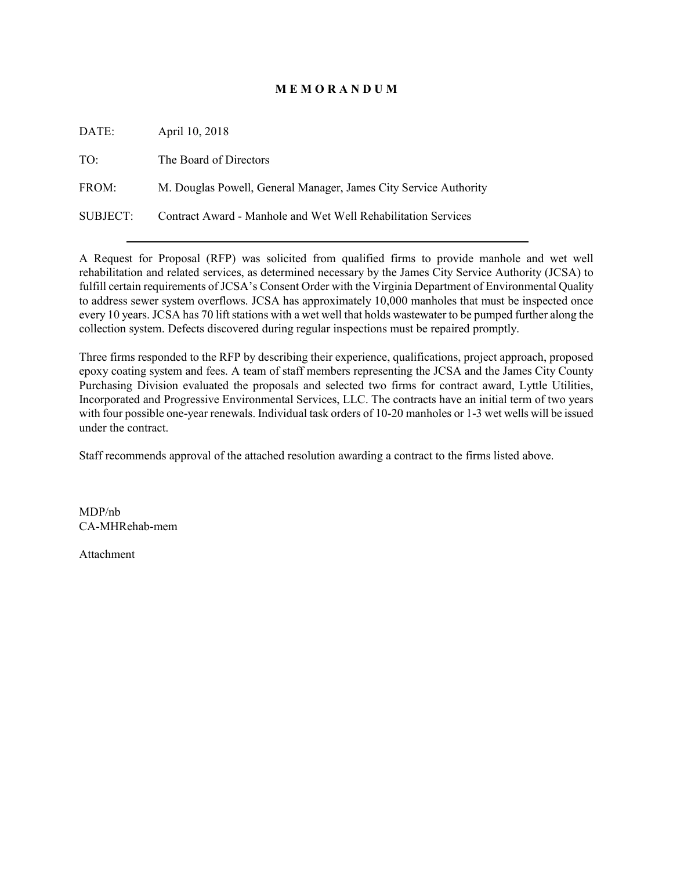#### **M E M O R A N D U M**

DATE: April 10, 2018

| TO∙      | The Board of Directors                                           |
|----------|------------------------------------------------------------------|
| FROM:    | M. Douglas Powell, General Manager, James City Service Authority |
| SUBJECT: | Contract Award - Manhole and Wet Well Rehabilitation Services    |

A Request for Proposal (RFP) was solicited from qualified firms to provide manhole and wet well rehabilitation and related services, as determined necessary by the James City Service Authority (JCSA) to fulfill certain requirements of JCSA's Consent Order with the Virginia Department of Environmental Quality to address sewer system overflows. JCSA has approximately 10,000 manholes that must be inspected once every 10 years. JCSA has 70 lift stations with a wet well that holds wastewater to be pumped further along the collection system. Defects discovered during regular inspections must be repaired promptly.

Three firms responded to the RFP by describing their experience, qualifications, project approach, proposed epoxy coating system and fees. A team of staff members representing the JCSA and the James City County Purchasing Division evaluated the proposals and selected two firms for contract award, Lyttle Utilities, Incorporated and Progressive Environmental Services, LLC. The contracts have an initial term of two years with four possible one-year renewals. Individual task orders of 10-20 manholes or 1-3 wet wells will be issued under the contract.

Staff recommends approval of the attached resolution awarding a contract to the firms listed above.

MDP/nb CA-MHRehab-mem

Attachment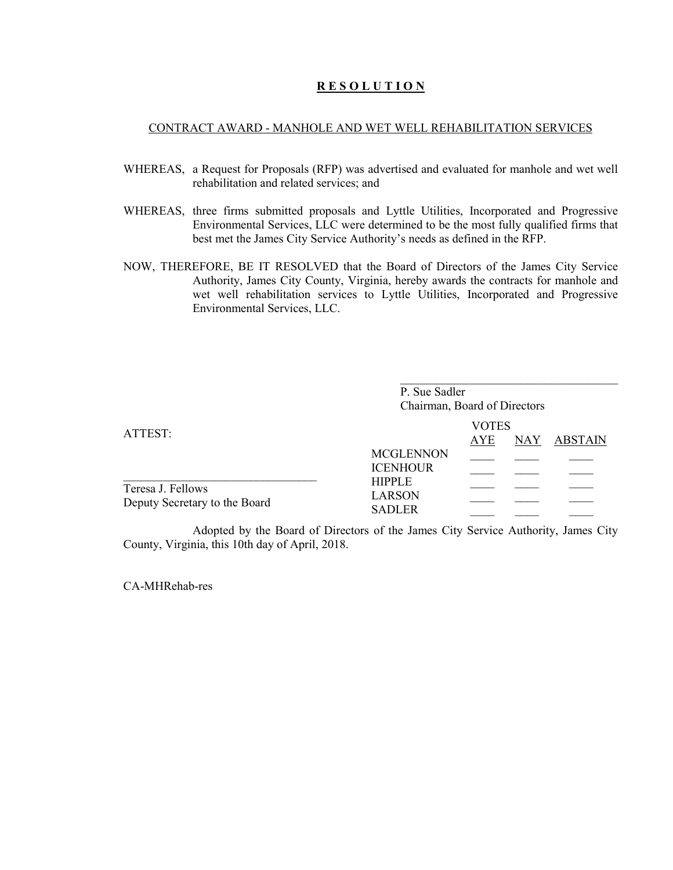#### **R E S O L U T I O N**

#### CONTRACT AWARD - MANHOLE AND WET WELL REHABILITATION SERVICES

- WHEREAS, a Request for Proposals (RFP) was advertised and evaluated for manhole and wet well rehabilitation and related services; and
- WHEREAS, three firms submitted proposals and Lyttle Utilities, Incorporated and Progressive Environmental Services, LLC were determined to be the most fully qualified firms that best met the James City Service Authority's needs as defined in the RFP.
- NOW, THEREFORE, BE IT RESOLVED that the Board of Directors of the James City Service Authority, James City County, Virginia, hereby awards the contracts for manhole and wet well rehabilitation services to Lyttle Utilities, Incorporated and Progressive Environmental Services, LLC.

|                                                    | P. Sue Sadler<br>Chairman, Board of Directors   |                     |            |         |
|----------------------------------------------------|-------------------------------------------------|---------------------|------------|---------|
| ATTEST:                                            |                                                 | <b>VOTES</b><br>AYE | <b>NAY</b> | ABSTAIN |
|                                                    | <b>MCGLENNON</b><br><b>ICENHOUR</b>             |                     |            |         |
| Teresa J. Fellows<br>Deputy Secretary to the Board | <b>HIPPLE</b><br><b>LARSON</b><br><b>SADLER</b> |                     |            |         |

Adopted by the Board of Directors of the James City Service Authority, James City County, Virginia, this 10th day of April, 2018.

CA-MHRehab-res